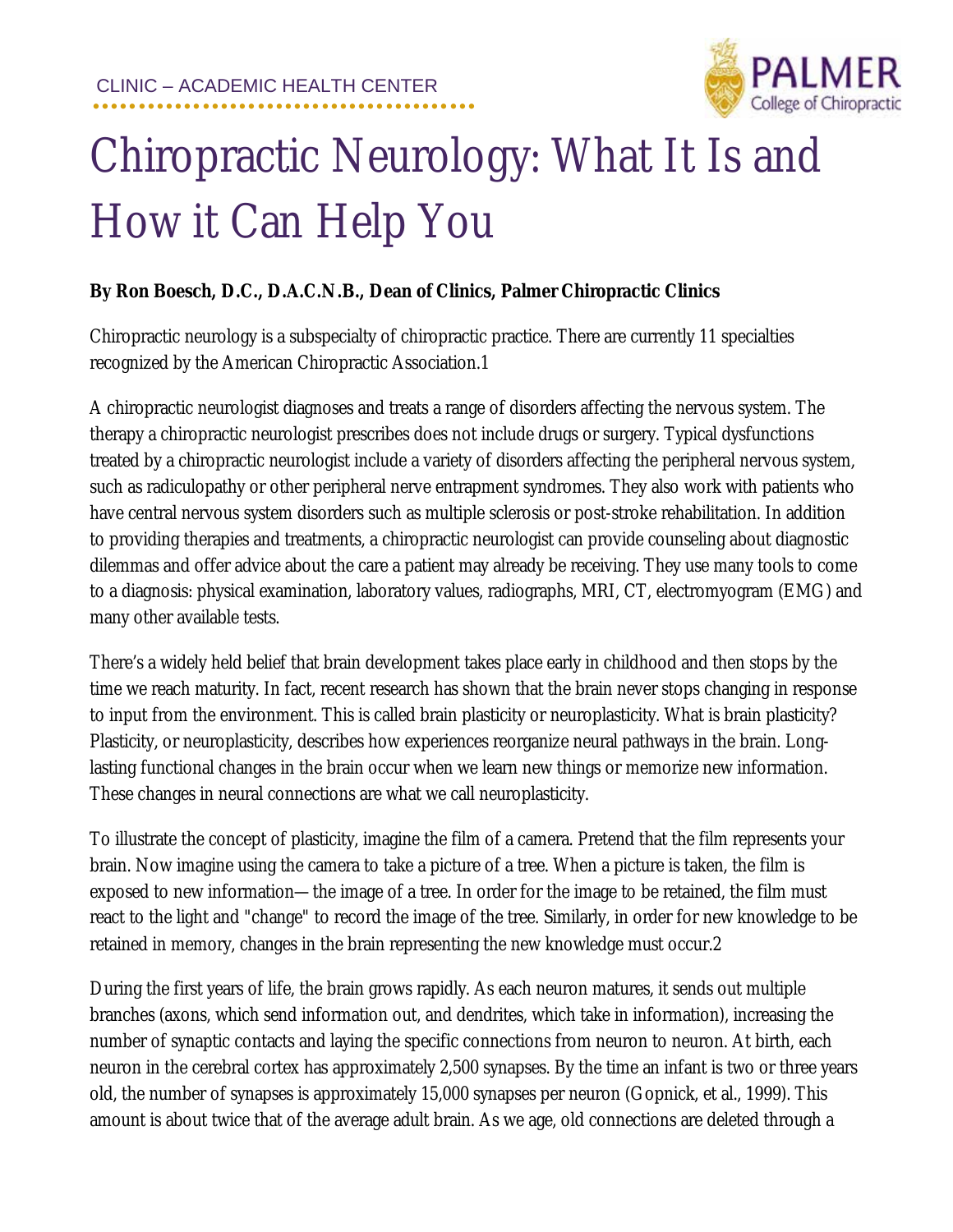

## Chiropractic Neurology: What It Is and How it Can Help You

## **By Ron Boesch, D.C., D.A.C.N.B., Dean of Clinics, Palmer Chiropractic Clinics**

Chiropractic neurology is a subspecialty of chiropractic practice. There are currently 11 specialties recognized by the American Chiropractic Association.1

A chiropractic neurologist diagnoses and treats a range of disorders affecting the nervous system. The therapy a chiropractic neurologist prescribes does not include drugs or surgery. Typical dysfunctions treated by a chiropractic neurologist include a variety of disorders affecting the peripheral nervous system, such as radiculopathy or other peripheral nerve entrapment syndromes. They also work with patients who have central nervous system disorders such as multiple sclerosis or post-stroke rehabilitation. In addition to providing therapies and treatments, a chiropractic neurologist can provide counseling about diagnostic dilemmas and offer advice about the care a patient may already be receiving. They use many tools to come to a diagnosis: physical examination, laboratory values, radiographs, MRI, CT, electromyogram (EMG) and many other available tests.

There's a widely held belief that brain development takes place early in childhood and then stops by the time we reach maturity. In fact, recent research has shown that the brain never stops changing in response to input from the environment. This is called brain plasticity or neuroplasticity. What is brain plasticity? Plasticity, or neuroplasticity, describes how experiences reorganize neural pathways in the brain. Longlasting functional changes in the brain occur when we learn new things or memorize new information. These changes in neural connections are what we call neuroplasticity.

To illustrate the concept of plasticity, imagine the film of a camera. Pretend that the film represents your brain. Now imagine using the camera to take a picture of a tree. When a picture is taken, the film is exposed to new information—the image of a tree. In order for the image to be retained, the film must react to the light and "change" to record the image of the tree. Similarly, in order for new knowledge to be retained in memory, changes in the brain representing the new knowledge must occur.2

During the first years of life, the brain grows rapidly. As each neuron matures, it sends out multiple branches (axons, which send information out, and dendrites, which take in information), increasing the number of synaptic contacts and laying the specific connections from neuron to neuron. At birth, each neuron in the cerebral cortex has approximately 2,500 synapses. By the time an infant is two or three years old, the number of synapses is approximately 15,000 synapses per neuron (Gopnick, et al., 1999). This amount is about twice that of the average adult brain. As we age, old connections are deleted through a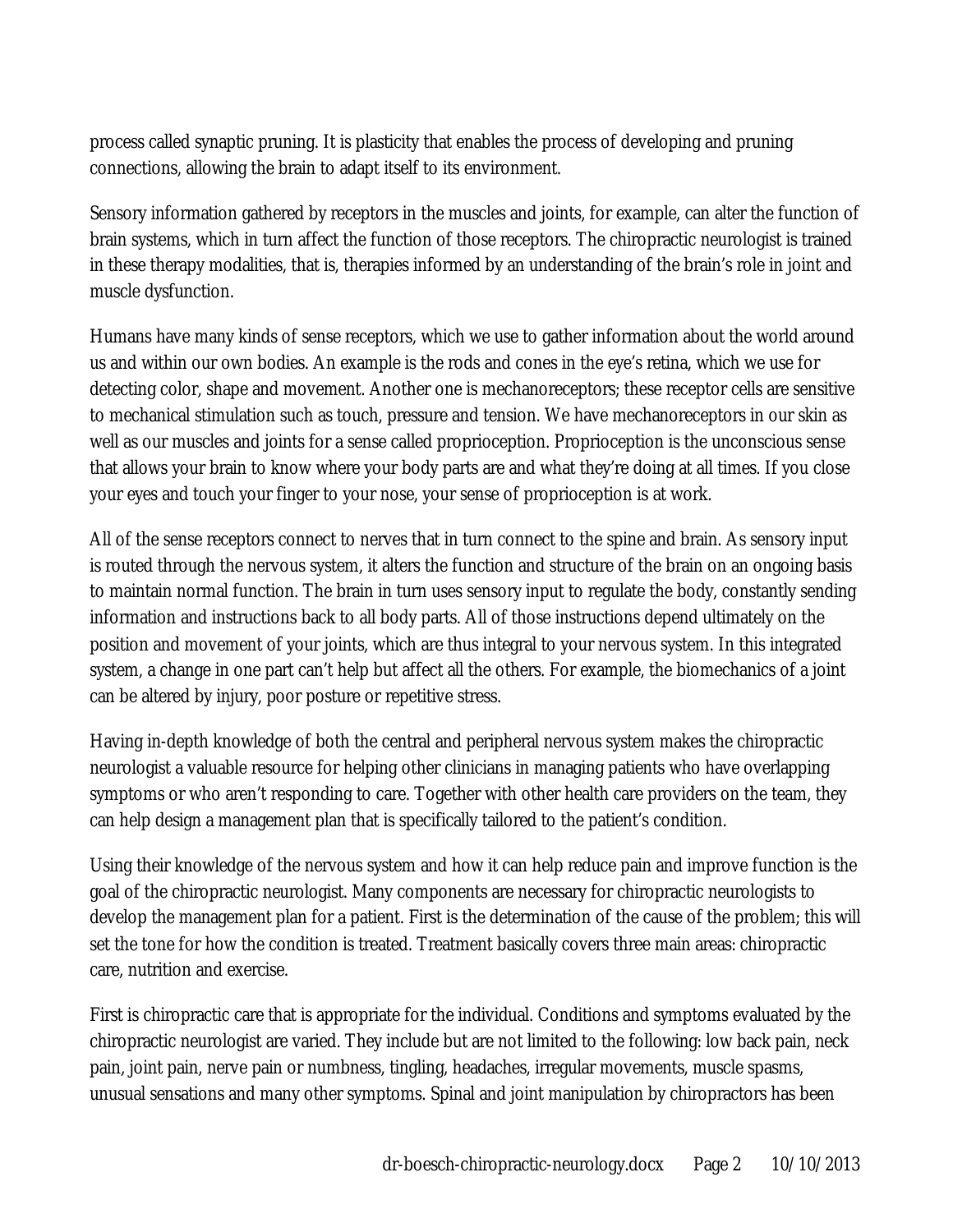process called synaptic pruning. It is plasticity that enables the process of developing and pruning connections, allowing the brain to adapt itself to its environment.

Sensory information gathered by receptors in the muscles and joints, for example, can alter the function of brain systems, which in turn affect the function of those receptors. The chiropractic neurologist is trained in these therapy modalities, that is, therapies informed by an understanding of the brain's role in joint and muscle dysfunction.

Humans have many kinds of sense receptors, which we use to gather information about the world around us and within our own bodies. An example is the rods and cones in the eye's retina, which we use for detecting color, shape and movement. Another one is mechanoreceptors; these receptor cells are sensitive to mechanical stimulation such as touch, pressure and tension. We have mechanoreceptors in our skin as well as our muscles and joints for a sense called proprioception. Proprioception is the unconscious sense that allows your brain to know where your body parts are and what they're doing at all times. If you close your eyes and touch your finger to your nose, your sense of proprioception is at work.

All of the sense receptors connect to nerves that in turn connect to the spine and brain. As sensory input is routed through the nervous system, it alters the function and structure of the brain on an ongoing basis to maintain normal function. The brain in turn uses sensory input to regulate the body, constantly sending information and instructions back to all body parts. All of those instructions depend ultimately on the position and movement of your joints, which are thus integral to your nervous system. In this integrated system, a change in one part can't help but affect all the others. For example, the biomechanics of a joint can be altered by injury, poor posture or repetitive stress.

Having in-depth knowledge of both the central and peripheral nervous system makes the chiropractic neurologist a valuable resource for helping other clinicians in managing patients who have overlapping symptoms or who aren't responding to care. Together with other health care providers on the team, they can help design a management plan that is specifically tailored to the patient's condition.

Using their knowledge of the nervous system and how it can help reduce pain and improve function is the goal of the chiropractic neurologist. Many components are necessary for chiropractic neurologists to develop the management plan for a patient. First is the determination of the cause of the problem; this will set the tone for how the condition is treated. Treatment basically covers three main areas: chiropractic care, nutrition and exercise.

First is chiropractic care that is appropriate for the individual. Conditions and symptoms evaluated by the chiropractic neurologist are varied. They include but are not limited to the following: low back pain, neck pain, joint pain, nerve pain or numbness, tingling, headaches, irregular movements, muscle spasms, unusual sensations and many other symptoms. Spinal and joint manipulation by chiropractors has been